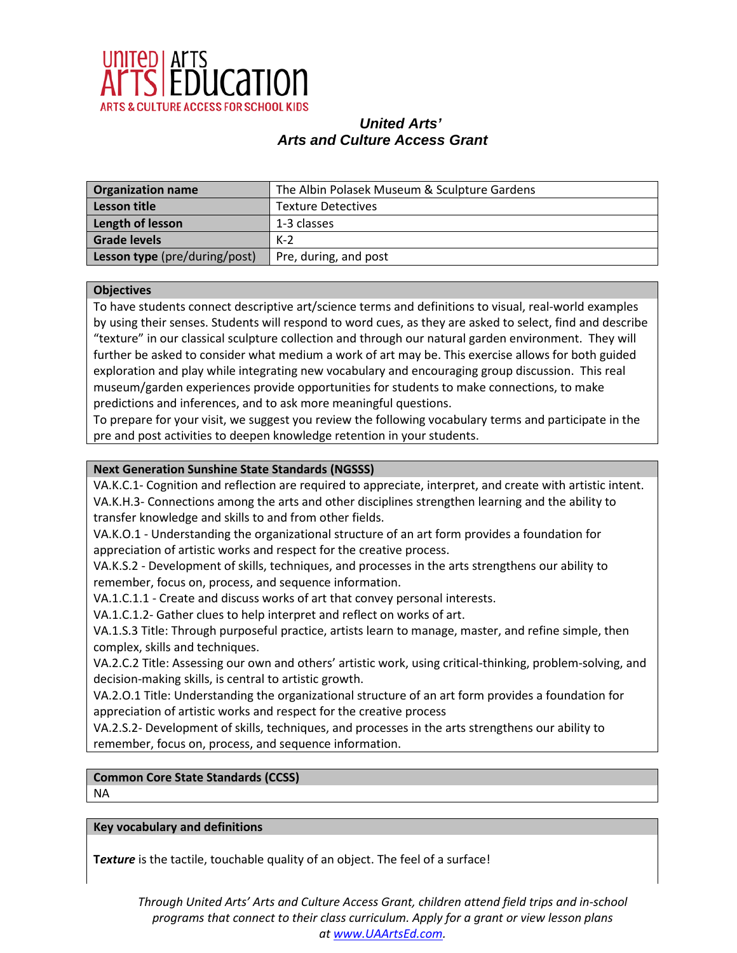

| <b>Organization name</b>      | The Albin Polasek Museum & Sculpture Gardens |
|-------------------------------|----------------------------------------------|
| Lesson title                  | <b>Texture Detectives</b>                    |
| Length of lesson              | 1-3 classes                                  |
| <b>Grade levels</b>           | $K-2$                                        |
| Lesson type (pre/during/post) | Pre, during, and post                        |

### **Objectives**

To have students connect descriptive art/science terms and definitions to visual, real-world examples by using their senses. Students will respond to word cues, as they are asked to select, find and describe "texture" in our classical sculpture collection and through our natural garden environment. They will further be asked to consider what medium a work of art may be. This exercise allows for both guided exploration and play while integrating new vocabulary and encouraging group discussion. This real museum/garden experiences provide opportunities for students to make connections, to make predictions and inferences, and to ask more meaningful questions.

To prepare for your visit, we suggest you review the following vocabulary terms and participate in the pre and post activities to deepen knowledge retention in your students.

## **Next Generation Sunshine State Standards (NGSSS)**

VA.K.C.1- Cognition and reflection are required to appreciate, interpret, and create with artistic intent. VA.K.H.3- Connections among the arts and other disciplines strengthen learning and the ability to transfer knowledge and skills to and from other fields.

VA.K.O.1 - Understanding the organizational structure of an art form provides a foundation for appreciation of artistic works and respect for the creative process.

VA.K.S.2 - Development of skills, techniques, and processes in the arts strengthens our ability to remember, focus on, process, and sequence information.

VA.1.C.1.1 - Create and discuss works of art that convey personal interests.

VA.1.C.1.2- Gather clues to help interpret and reflect on works of art.

VA.1.S.3 Title: Through purposeful practice, artists learn to manage, master, and refine simple, then complex, skills and techniques.

VA.2.C.2 Title: Assessing our own and others' artistic work, using critical-thinking, problem-solving, and decision-making skills, is central to artistic growth.

VA.2.O.1 Title: Understanding the organizational structure of an art form provides a foundation for appreciation of artistic works and respect for the creative process

VA.2.S.2- Development of skills, techniques, and processes in the arts strengthens our ability to remember, focus on, process, and sequence information.

# **Common Core State Standards (CCSS)**

NA

**Key vocabulary and definitions**

**T***exture* is the tactile, touchable quality of an object. The feel of a surface!

*Through United Arts' Arts and Culture Access Grant, children attend field trips and in-school programs that connect to their class curriculum. Apply for a grant or view lesson plans at [www.UAArtsEd.com.](http://www.uaartsed.com/)*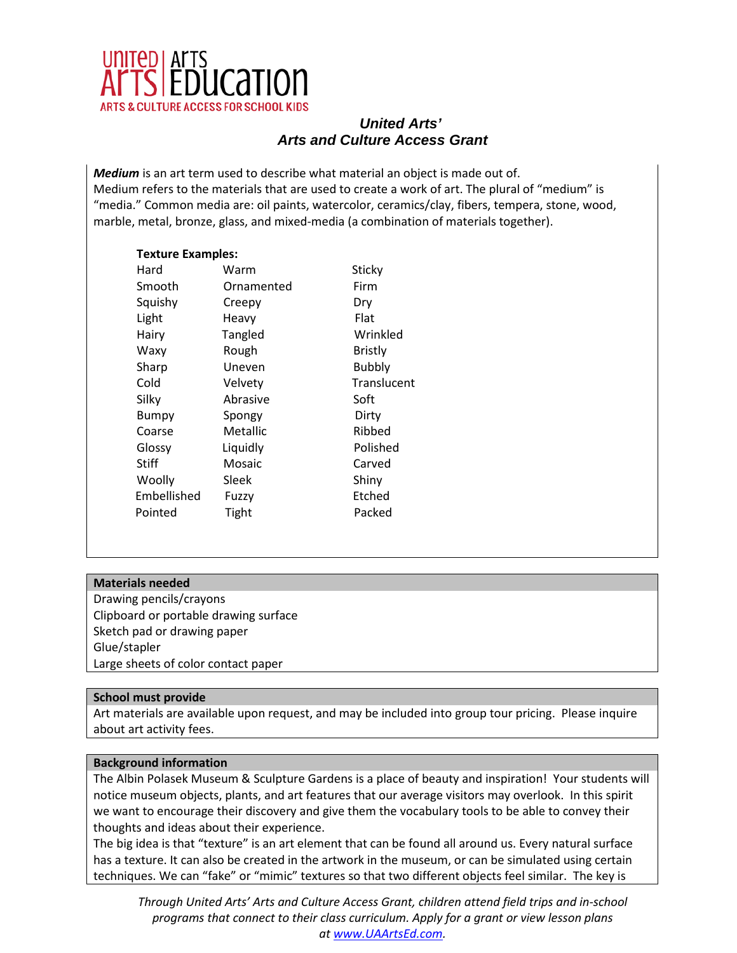

*Medium* is an art term used to describe what material an object is made out of. Medium refers to the materials that are used to create a work of art. The plural of "medium" is "media." Common media are: oil paints, watercolor, ceramics/clay, fibers, tempera, stone, wood, marble, metal, bronze, glass, and mixed-media (a combination of materials together).

## **Texture Examples:**

Hard Warm Sticky Smooth Ornamented Firm Squishy Creepy Dry Light Heavy Flat Hairy Tangled Wrinkled Waxy Rough Bristly Sharp Uneven Bubbly Cold Velvety Translucent Silky Abrasive Soft Bumpy Spongy Dirty Coarse Metallic Ribbed Glossy Liquidly Polished Stiff Mosaic Carved Woolly Sleek Shiny Embellished Fuzzy Etched Pointed Tight Packed

## **Materials needed**

Drawing pencils/crayons Clipboard or portable drawing surface Sketch pad or drawing paper Glue/stapler Large sheets of color contact paper

## **School must provide**

Art materials are available upon request, and may be included into group tour pricing. Please inquire about art activity fees.

## **Background information**

The Albin Polasek Museum & Sculpture Gardens is a place of beauty and inspiration! Your students will notice museum objects, plants, and art features that our average visitors may overlook. In this spirit we want to encourage their discovery and give them the vocabulary tools to be able to convey their thoughts and ideas about their experience.

The big idea is that "texture" is an art element that can be found all around us. Every natural surface has a texture. It can also be created in the artwork in the museum, or can be simulated using certain techniques. We can "fake" or "mimic" textures so that two different objects feel similar. The key is

*Through United Arts' Arts and Culture Access Grant, children attend field trips and in-school programs that connect to their class curriculum. Apply for a grant or view lesson plans at [www.UAArtsEd.com.](http://www.uaartsed.com/)*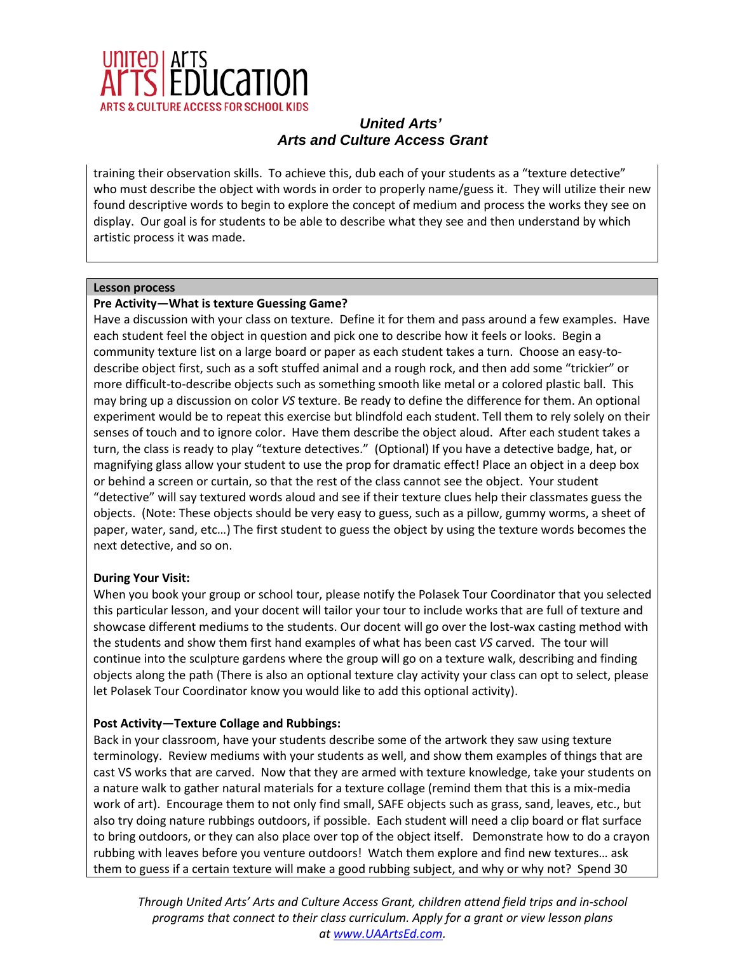

training their observation skills. To achieve this, dub each of your students as a "texture detective" who must describe the object with words in order to properly name/guess it. They will utilize their new found descriptive words to begin to explore the concept of medium and process the works they see on display. Our goal is for students to be able to describe what they see and then understand by which artistic process it was made.

### **Lesson process**

## **Pre Activity—What is texture Guessing Game?**

Have a discussion with your class on texture. Define it for them and pass around a few examples. Have each student feel the object in question and pick one to describe how it feels or looks. Begin a community texture list on a large board or paper as each student takes a turn. Choose an easy-todescribe object first, such as a soft stuffed animal and a rough rock, and then add some "trickier" or more difficult-to-describe objects such as something smooth like metal or a colored plastic ball. This may bring up a discussion on color *VS* texture. Be ready to define the difference for them. An optional experiment would be to repeat this exercise but blindfold each student. Tell them to rely solely on their senses of touch and to ignore color. Have them describe the object aloud. After each student takes a turn, the class is ready to play "texture detectives." (Optional) If you have a detective badge, hat, or magnifying glass allow your student to use the prop for dramatic effect! Place an object in a deep box or behind a screen or curtain, so that the rest of the class cannot see the object. Your student "detective" will say textured words aloud and see if their texture clues help their classmates guess the objects. (Note: These objects should be very easy to guess, such as a pillow, gummy worms, a sheet of paper, water, sand, etc…) The first student to guess the object by using the texture words becomes the next detective, and so on.

## **During Your Visit:**

When you book your group or school tour, please notify the Polasek Tour Coordinator that you selected this particular lesson, and your docent will tailor your tour to include works that are full of texture and showcase different mediums to the students. Our docent will go over the lost-wax casting method with the students and show them first hand examples of what has been cast *VS* carved. The tour will continue into the sculpture gardens where the group will go on a texture walk, describing and finding objects along the path (There is also an optional texture clay activity your class can opt to select, please let Polasek Tour Coordinator know you would like to add this optional activity).

## **Post Activity—Texture Collage and Rubbings:**

Back in your classroom, have your students describe some of the artwork they saw using texture terminology. Review mediums with your students as well, and show them examples of things that are cast VS works that are carved. Now that they are armed with texture knowledge, take your students on a nature walk to gather natural materials for a texture collage (remind them that this is a mix-media work of art). Encourage them to not only find small, SAFE objects such as grass, sand, leaves, etc., but also try doing nature rubbings outdoors, if possible. Each student will need a clip board or flat surface to bring outdoors, or they can also place over top of the object itself. Demonstrate how to do a crayon rubbing with leaves before you venture outdoors! Watch them explore and find new textures… ask them to guess if a certain texture will make a good rubbing subject, and why or why not? Spend 30

*Through United Arts' Arts and Culture Access Grant, children attend field trips and in-school programs that connect to their class curriculum. Apply for a grant or view lesson plans at [www.UAArtsEd.com.](http://www.uaartsed.com/)*